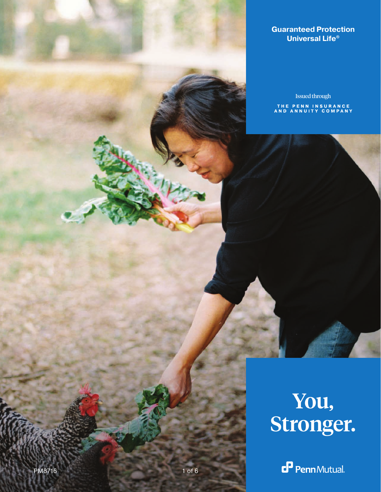#### **Guaranteed Protection Universal Life®**

Issued through

THE PENN INSURANCE<br>AND ANNUITY COMPANY

## You, Stronger.

 $\mathbf{C}^{\mathbf{P}}$  Penn Mutual.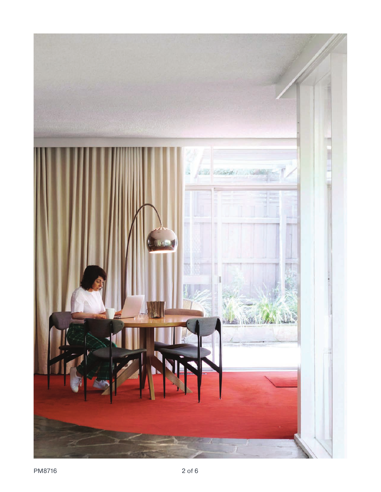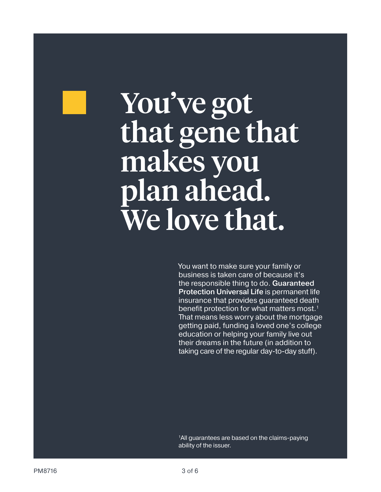# You've got that gene that makes you plan ahead. We love that.

You want to make sure your family or business is taken care of because it's the responsible thing to do. Guaranteed Protection Universal Life is permanent life insurance that provides guaranteed death benefit protection for what matters most.<sup>1</sup> That means less worry about the mortgage getting paid, funding a loved one's college education or helping your family live out their dreams in the future (in addition to taking care of the regular day-to-day stuff).

1 All guarantees are based on the claims-paying ability of the issuer.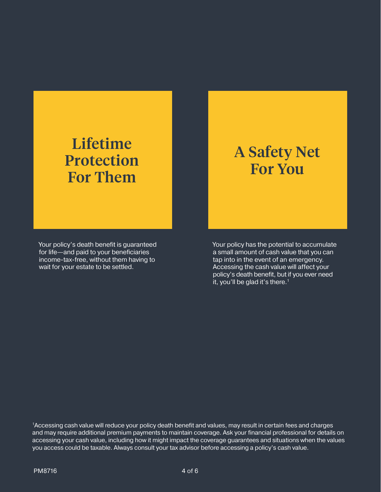## Lifetime Protection For Them

Your policy's death benefit is guaranteed for life—and paid to your beneficiaries income-tax-free, without them having to wait for your estate to be settled.

A Safety Net For You

Your policy has the potential to accumulate a small amount of cash value that you can tap into in the event of an emergency. Accessing the cash value will affect your policy's death benefit, but if you ever need it, you'll be glad it's there.<sup>1</sup>

1 Accessing cash value will reduce your policy death benefit and values, may result in certain fees and charges and may require additional premium payments to maintain coverage. Ask your financial professional for details on accessing your cash value, including how it might impact the coverage guarantees and situations when the values you access could be taxable. Always consult your tax advisor before accessing a policy's cash value.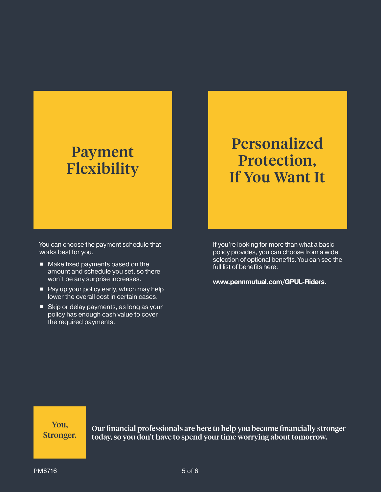## Payment Flexibility

You can choose the payment schedule that works best for you.

- Make fixed payments based on the amount and schedule you set, so there won't be any surprise increases.
- Pay up your policy early, which may help lower the overall cost in certain cases.
- Skip or delay payments, as long as your policy has enough cash value to cover the required payments.

### Personalized Protection, If You Want It

If you're looking for more than what a basic policy provides, you can choose from a wide selection of optional benefits. You can see the full list of benefits here:

**www.pennmutual.com/GPUL-Riders.**

You,

Stronger. Our financial professionals are here to help you become financially stronger<br>Stronger. today so you don't have to spend your time worrying about tomorrow today, so you don't have to spend your time worrying about tomorrow.